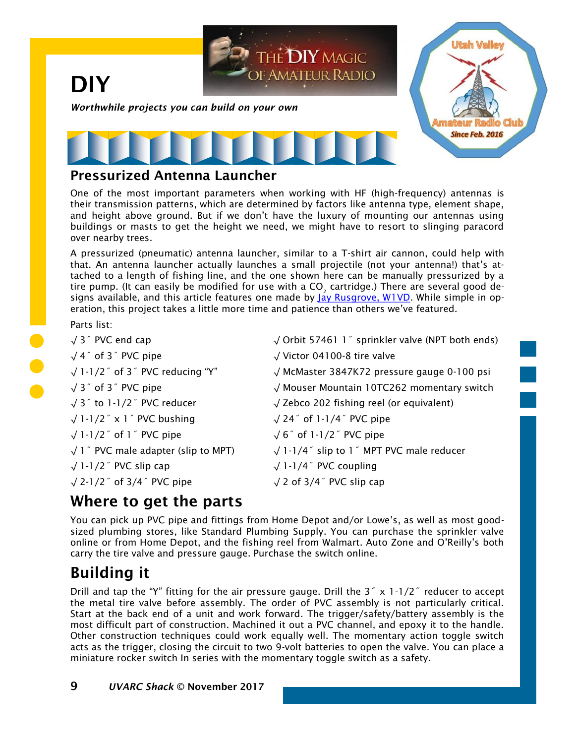

### Pressurized Antenna Launcher

One of the most important parameters when working with HF (high-frequency) antennas is their transmission patterns, which are determined by factors like antenna type, element shape, and height above ground. But if we don't have the luxury of mounting our antennas using buildings or masts to get the height we need, we might have to resort to slinging paracord over nearby trees.

A pressurized (pneumatic) antenna launcher, similar to a T-shirt air cannon, could help with that. An antenna launcher actually launches a small projectile (not your antenna!) that's attached to a length of fishing line, and the one shown here can be manually pressurized by a tire pump. (It can easily be modified for use with a CO $_{_2}$  cartridge.) There are several good de-signs available, and this article features one made by [Jay Rusgrove, W1VD.](http://www.w1vd.com/antennalauncher.pdf) While simple in operation, this project takes a little more time and patience than others we've featured.

### Parts list:

| $\sqrt{3}$ PVC end cap                         | √ Orbit 57461 1 <sup>"</sup> sprinkler valve (NPT both ends) |
|------------------------------------------------|--------------------------------------------------------------|
| $\sqrt{4}$ of 3 <sup>"</sup> PVC pipe          | $\sqrt{}$ Victor 04100-8 tire valve                          |
| $\sqrt{1-1/2}$ of 3 $\degree$ PVC reducing "Y" | √ McMaster 3847K72 pressure gauge 0-100 psi                  |
| $\sqrt{3}$ of 3 $\degree$ PVC pipe             | √ Mouser Mountain 10TC262 momentary switch                   |
| $\sqrt{3}$ to 1-1/2 <sup>"</sup> PVC reducer   | $\sqrt{2}$ Zebco 202 fishing reel (or equivalent)            |
| $\sqrt{1-1/2}$ x 1 $\degree$ PVC bushing       | $\sqrt{24}$ of 1-1/4 $\degree$ PVC pipe                      |
| $\sqrt{1-1/2}$ of 1 $\degree$ PVC pipe         | $\sqrt{6}$ of 1-1/2 <sup>"</sup> PVC pipe                    |
| $\sqrt{1}$ PVC male adapter (slip to MPT)      | $\sqrt{1-1/4}$ slip to 1 $\degree$ MPT PVC male reducer      |
| $\sqrt{1-1/2}$ PVC slip cap                    | $\sqrt{1-1/4}$ PVC coupling                                  |
| $\sqrt{2-1/2}$ of 3/4 $\degree$ PVC pipe       | $\sqrt{2}$ of 3/4" PVC slip cap                              |
|                                                |                                                              |

## Where to get the parts

You can pick up PVC pipe and fittings from Home Depot and/or Lowe's, as well as most goodsized plumbing stores, like Standard Plumbing Supply. You can purchase the sprinkler valve online or from Home Depot, and the fishing reel from Walmart. Auto Zone and O'Reilly's both carry the tire valve and pressure gauge. Purchase the switch online.

# Building it

Drill and tap the "Y" fitting for the air pressure gauge. Drill the  $3 \degree \times 1 \degree 1/2 \degree$  reducer to accept the metal tire valve before assembly. The order of PVC assembly is not particularly critical. Start at the back end of a unit and work forward. The trigger/safety/battery assembly is the most difficult part of construction. Machined it out a PVC channel, and epoxy it to the handle. Other construction techniques could work equally well. The momentary action toggle switch acts as the trigger, closing the circuit to two 9-volt batteries to open the valve. You can place a miniature rocker switch In series with the momentary toggle switch as a safety.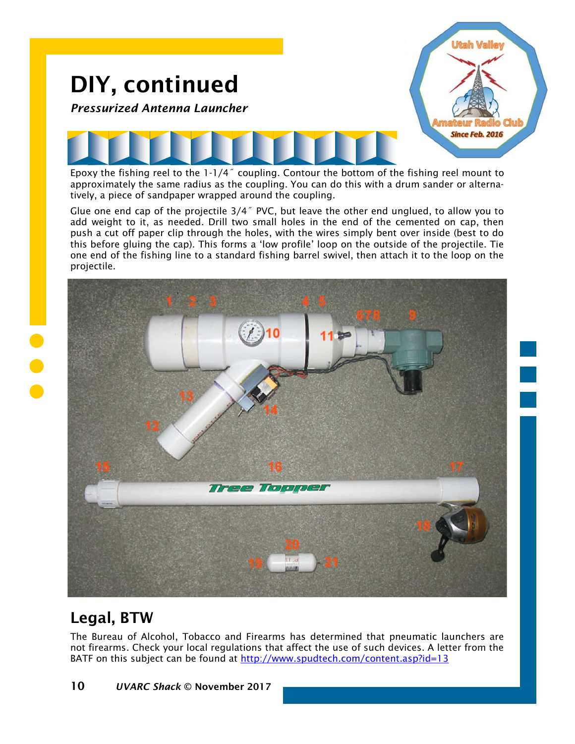

Epoxy the fishing reel to the 1-1/4˝ coupling. Contour the bottom of the fishing reel mount to approximately the same radius as the coupling. You can do this with a drum sander or alternatively, a piece of sandpaper wrapped around the coupling.

Glue one end cap of the projectile  $3/4$ <sup>"</sup> PVC, but leave the other end unglued, to allow you to add weight to it, as needed. Drill two small holes in the end of the cemented on cap, then push a cut off paper clip through the holes, with the wires simply bent over inside (best to do this before gluing the cap). This forms a 'low profile' loop on the outside of the projectile. Tie one end of the fishing line to a standard fishing barrel swivel, then attach it to the loop on the projectile.



# Legal, BTW

The Bureau of Alcohol, Tobacco and Firearms has determined that pneumatic launchers are not firearms. Check your local regulations that affect the use of such devices. A letter from the BATF on this subject can be found at<http://www.spudtech.com/content.asp?id=13>